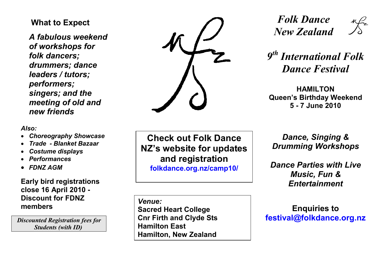### **What to Expect**

*A fabulous weekend of workshops for folk dancers; drummers; dance leaders / tutors; performers; singers; and the meeting of old and new friends* 

*Folk Dance New Zealand* 

# *9th International Folk Dance Festival*

**HAMILTON Queen's Birthday Weekend 5 - 7 June 2010**

#### *Also:*

- *Choreography Showcase*
- •*Trade - Blanket Bazaar*
- •*Costume displays*
- •*Performances*
- *FDNZ AGM*

### **Early bird registrations close 16 April 2010 - Discount for FDNZ members**

 *Discounted Registration fees for Students (with ID)* 

**Check out Folk Dance NZ's website for updates and registration folkdance.org.nz/camp10/**

*Venue:* **Sacred Heart College Cnr Firth and Clyde Sts Hamilton East Hamilton, New Zealand**

*Dance, Singing & Drumming Workshops* 

*Dance Parties with Live Music, Fun & Entertainment*

**Enquiries to festival@folkdance.org.nz**